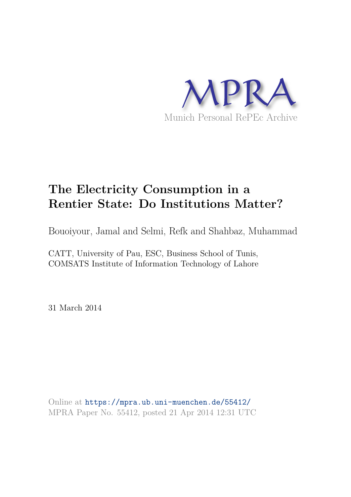

# **The Electricity Consumption in a Rentier State: Do Institutions Matter?**

Bouoiyour, Jamal and Selmi, Refk and Shahbaz, Muhammad

CATT, University of Pau, ESC, Business School of Tunis, COMSATS Institute of Information Technology of Lahore

31 March 2014

Online at https://mpra.ub.uni-muenchen.de/55412/ MPRA Paper No. 55412, posted 21 Apr 2014 12:31 UTC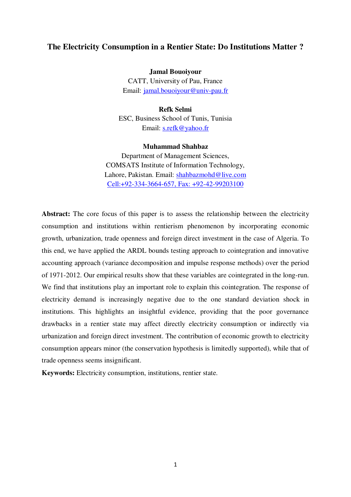# **The Electricity Consumption in a Rentier State: Do Institutions Matter ?**

**Jamal Bouoiyour**  CATT, University of Pau, France Email: [jamal.bouoiyour@univ-pau.fr](mailto:jamal.bouoiyour@univ-pau.fr)

**Refk Selmi**  ESC, Business School of Tunis, Tunisia Email: [s.refk@yahoo.fr](mailto:s.refk@yahoo.fr)

#### **Muhammad Shahbaz**

Department of Management Sciences, COMSATS Institute of Information Technology, Lahore, Pakistan. Email: [shahbazmohd@live.com](mailto:shahbazmohd@live.com) Cell:+92-334-3664-657, Fax: +92-42-99203100

Abstract: The core focus of this paper is to assess the relationship between the electricity consumption and institutions within rentierism phenomenon by incorporating economic growth, urbanization, trade openness and foreign direct investment in the case of Algeria. To this end, we have applied the ARDL bounds testing approach to cointegration and innovative accounting approach (variance decomposition and impulse response methods) over the period of 1971-2012. Our empirical results show that these variables are cointegrated in the long-run. We find that institutions play an important role to explain this cointegration. The response of electricity demand is increasingly negative due to the one standard deviation shock in institutions. This highlights an insightful evidence, providing that the poor governance drawbacks in a rentier state may affect directly electricity consumption or indirectly via urbanization and foreign direct investment. The contribution of economic growth to electricity consumption appears minor (the conservation hypothesis is limitedly supported), while that of trade openness seems insignificant.

**Keywords:** Electricity consumption, institutions, rentier state.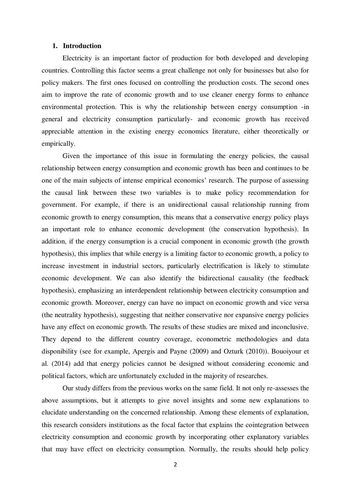# **1. Introduction**

Electricity is an important factor of production for both developed and developing countries. Controlling this factor seems a great challenge not only for businesses but also for policy makers. The first ones focused on controlling the production costs. The second ones aim to improve the rate of economic growth and to use cleaner energy forms to enhance environmental protection. This is why the relationship between energy consumption -in general and electricity consumption particularly- and economic growth has received appreciable attention in the existing energy economics literature, either theoretically or empirically.

Given the importance of this issue in formulating the energy policies, the causal relationship between energy consumption and economic growth has been and continues to be one of the main subjects of intense empirical economics' research. The purpose of assessing the causal link between these two variables is to make policy recommendation for government. For example, if there is an unidirectional causal relationship running from economic growth to energy consumption, this means that a conservative energy policy plays an important role to enhance economic development (the conservation hypothesis). In addition, if the energy consumption is a crucial component in economic growth (the growth hypothesis), this implies that while energy is a limiting factor to economic growth, a policy to increase investment in industrial sectors, particularly electrification is likely to stimulate economic development. We can also identify the bidirectional causality (the feedback hypothesis), emphasizing an interdependent relationship between electricity consumption and economic growth. Moreover, energy can have no impact on economic growth and vice versa (the neutrality hypothesis), suggesting that neither conservative nor expansive energy policies have any effect on economic growth. The results of these studies are mixed and inconclusive. They depend to the different country coverage, econometric methodologies and data disponibility (see for example, Apergis and Payne (2009) and Ozturk (2010)). Bouoiyour et al. (2014) add that energy policies cannot be designed without considering economic and political factors, which are unfortunately excluded in the majority of researches.

Our study differs from the previous works on the same field. It not only re-assesses the above assumptions, but it attempts to give novel insights and some new explanations to elucidate understanding on the concerned relationship. Among these elements of explanation, this research considers institutions as the focal factor that explains the cointegration between electricity consumption and economic growth by incorporating other explanatory variables that may have effect on electricity consumption. Normally, the results should help policy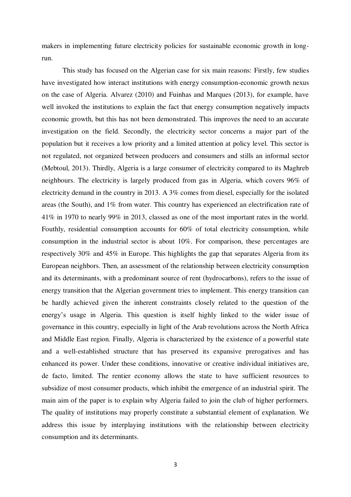makers in implementing future electricity policies for sustainable economic growth in longrun.

This study has focused on the Algerian case for six main reasons: Firstly, few studies have investigated how interact institutions with energy consumption-economic growth nexus on the case of Algeria. Alvarez (2010) and Fuinhas and Marques (2013), for example, have well invoked the institutions to explain the fact that energy consumption negatively impacts economic growth, but this has not been demonstrated. This improves the need to an accurate investigation on the field. Secondly, the electricity sector concerns a major part of the population but it receives a low priority and a limited attention at policy level. This sector is not regulated, not organized between producers and consumers and stills an informal sector (Mebtoul, 2013). Thirdly, Algeria is a large consumer of electricity compared to its Maghreb neighbours. The electricity is largely produced from gas in Algeria, which covers 96% of electricity demand in the country in 2013. A 3% comes from diesel, especially for the isolated areas (the South), and 1% from water. This country has experienced an electrification rate of 41% in 1970 to nearly 99% in 2013, classed as one of the most important rates in the world. Fouthly, residential consumption accounts for 60% of total electricity consumption, while consumption in the industrial sector is about 10%. For comparison, these percentages are respectively 30% and 45% in Europe. This highlights the gap that separates Algeria from its European neighbors. Then, an assessment of the relationship between electricity consumption and its determinants, with a predominant source of rent (hydrocarbons), refers to the issue of energy transition that the Algerian government tries to implement. This energy transition can be hardly achieved given the inherent constraints closely related to the question of the energy's usage in Algeria. This question is itself highly linked to the wider issue of governance in this country, especially in light of the Arab revolutions across the North Africa and Middle East region. Finally, Algeria is characterized by the existence of a powerful state and a well-established structure that has preserved its expansive prerogatives and has enhanced its power. Under these conditions, innovative or creative individual initiatives are, de facto, limited. The rentier economy allows the state to have sufficient resources to subsidize of most consumer products, which inhibit the emergence of an industrial spirit. The main aim of the paper is to explain why Algeria failed to join the club of higher performers. The quality of institutions may properly constitute a substantial element of explanation. We address this issue by interplaying institutions with the relationship between electricity consumption and its determinants.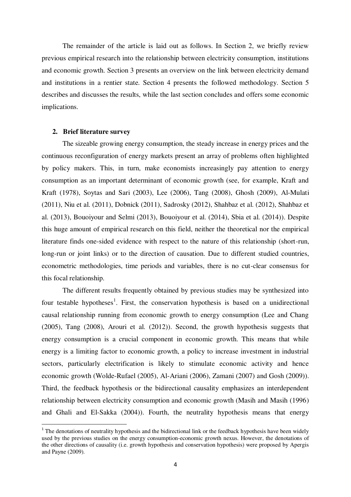The remainder of the article is laid out as follows. In Section 2, we briefly review previous empirical research into the relationship between electricity consumption, institutions and economic growth. Section 3 presents an overview on the link between electricity demand and institutions in a rentier state. Section 4 presents the followed methodology. Section 5 describes and discusses the results, while the last section concludes and offers some economic implications.

#### **2. Brief literature survey**

 $\overline{a}$ 

The sizeable growing energy consumption, the steady increase in energy prices and the continuous reconfiguration of energy markets present an array of problems often highlighted by policy makers. This, in turn, make economists increasingly pay attention to energy consumption as an important determinant of economic growth (see, for example, Kraft and Kraft (1978), Soytas and Sari (2003), Lee (2006), Tang (2008), Ghosh (2009), Al-Mulati (2011), Niu et al. (2011), Dobnick (2011), Sadrosky (2012), Shahbaz et al. (2012), Shahbaz et al. (2013), Bouoiyour and Selmi (2013), Bouoiyour et al. (2014), Sbia et al. (2014)). Despite this huge amount of empirical research on this field, neither the theoretical nor the empirical literature finds one-sided evidence with respect to the nature of this relationship (short-run, long-run or joint links) or to the direction of causation. Due to different studied countries, econometric methodologies, time periods and variables, there is no cut-clear consensus for this focal relationship.

The different results frequently obtained by previous studies may be synthesized into four testable hypotheses<sup>1</sup>. First, the conservation hypothesis is based on a unidirectional causal relationship running from economic growth to energy consumption (Lee and Chang (2005), Tang (2008), Arouri et al. (2012)). Second, the growth hypothesis suggests that energy consumption is a crucial component in economic growth. This means that while energy is a limiting factor to economic growth, a policy to increase investment in industrial sectors, particularly electrification is likely to stimulate economic activity and hence economic growth (Wolde-Rufael (2005), Al-Ariani (2006), Zamani (2007) and Gosh (2009)). Third, the feedback hypothesis or the bidirectional causality emphasizes an interdependent relationship between electricity consumption and economic growth (Masih and Masih (1996) and Ghali and El-Sakka (2004)). Fourth, the neutrality hypothesis means that energy

 $1$ <sup>1</sup> The denotations of neutrality hypothesis and the bidirectional link or the feedback hypothesis have been widely used by the previous studies on the energy consumption-economic growth nexus. However, the denotations of the other directions of causality (i.e. growth hypothesis and conservation hypothesis) were proposed by Apergis and Payne (2009).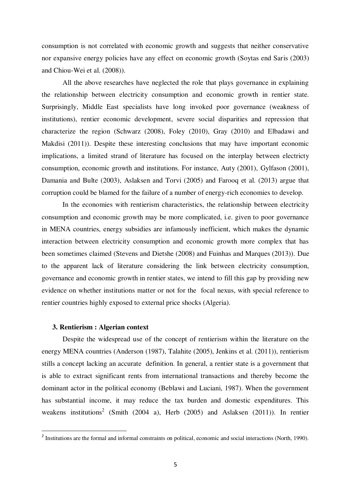consumption is not correlated with economic growth and suggests that neither conservative nor expansive energy policies have any effect on economic growth (Soytas end Saris (2003) and Chiou-Wei et al. (2008)).

All the above researches have neglected the role that plays governance in explaining the relationship between electricity consumption and economic growth in rentier state. Surprisingly, Middle East specialists have long invoked poor governance (weakness of institutions), rentier economic development, severe social disparities and repression that characterize the region (Schwarz (2008), Foley (2010), Gray (2010) and Elbadawi and Makdisi (2011)). Despite these interesting conclusions that may have important economic implications, a limited strand of literature has focused on the interplay between electricty consumption, economic growth and institutions. For instance, Auty (2001), Gylfason (2001), Damania and Bulte (2003), Aslaksen and Torvi (2005) and Farooq et al. (2013) argue that corruption could be blamed for the failure of a number of energy-rich economies to develop.

In the economies with rentierism characteristics, the relationship between electricity consumption and economic growth may be more complicated, i.e. given to poor governance in MENA countries, energy subsidies are infamously inefficient, which makes the dynamic interaction between electricity consumption and economic growth more complex that has been sometimes claimed (Stevens and Dietshe (2008) and Fuinhas and Marques (2013)). Due to the apparent lack of literature considering the link between electricity consumption, governance and economic growth in rentier states, we intend to fill this gap by providing new evidence on whether institutions matter or not for the focal nexus, with special reference to rentier countries highly exposed to external price shocks (Algeria).

## **3. Rentierism : Algerian context**

 $\overline{a}$ 

Despite the widespread use of the concept of rentierism within the literature on the energy MENA countries (Anderson (1987), Talahite (2005), Jenkins et al. (2011)), rentierism stills a concept lacking an accurate definition. In general, a rentier state is a government that is able to extract significant rents from international transactions and thereby become the dominant actor in the political economy (Beblawi and Luciani, 1987). When the government has substantial income, it may reduce the tax burden and domestic expenditures. This weakens institutions<sup>2</sup> (Smith (2004 a), Herb (2005) and Aslaksen (2011)). In rentier

<sup>&</sup>lt;sup>2</sup> Institutions are the formal and informal constraints on political, economic and social interactions (North, 1990).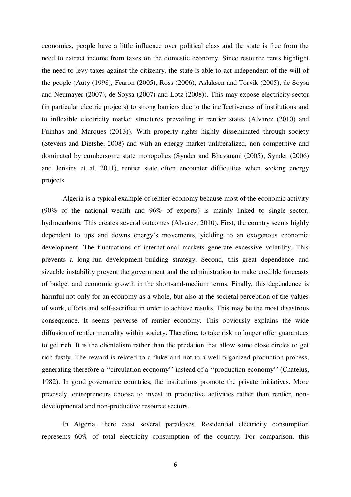economies, people have a little influence over political class and the state is free from the need to extract income from taxes on the domestic economy. Since resource rents highlight the need to levy taxes against the citizenry, the state is able to act independent of the will of the people (Auty (1998), Fearon (2005), Ross (2006), Aslaksen and Torvik (2005), de Soysa and Neumayer (2007), de Soysa (2007) and Lotz (2008)). This may expose electricity sector (in particular electric projects) to strong barriers due to the ineffectiveness of institutions and to inflexible electricity market structures prevailing in rentier states (Alvarez (2010) and Fuinhas and Marques (2013)). With property rights highly disseminated through society (Stevens and Dietshe, 2008) and with an energy market unliberalized, non-competitive and dominated by cumbersome state monopolies (Synder and Bhavanani (2005), Synder (2006) and Jenkins et al. 2011), rentier state often encounter difficulties when seeking energy projects.

Algeria is a typical example of rentier economy because most of the economic activity (90% of the national wealth and 96% of exports) is mainly linked to single sector, hydrocarbons. This creates several outcomes (Alvarez, 2010). First, the country seems highly dependent to ups and downs energy's movements, yielding to an exogenous economic development. The fluctuations of international markets generate excessive volatility. This prevents a long-run development-building strategy. Second, this great dependence and sizeable instability prevent the government and the administration to make credible forecasts of budget and economic growth in the short-and-medium terms. Finally, this dependence is harmful not only for an economy as a whole, but also at the societal perception of the values of work, efforts and self-sacrifice in order to achieve results. This may be the most disastrous consequence. It seems perverse of rentier economy. This obviously explains the wide diffusion of rentier mentality within society. Therefore, to take risk no longer offer guarantees to get rich. It is the clientelism rather than the predation that allow some close circles to get rich fastly. The reward is related to a fluke and not to a well organized production process, generating therefore a "circulation economy" instead of a "production economy" (Chatelus, 1982). In good governance countries, the institutions promote the private initiatives. More precisely, entrepreneurs choose to invest in productive activities rather than rentier, nondevelopmental and non-productive resource sectors.

In Algeria, there exist several paradoxes. Residential electricity consumption represents 60% of total electricity consumption of the country. For comparison, this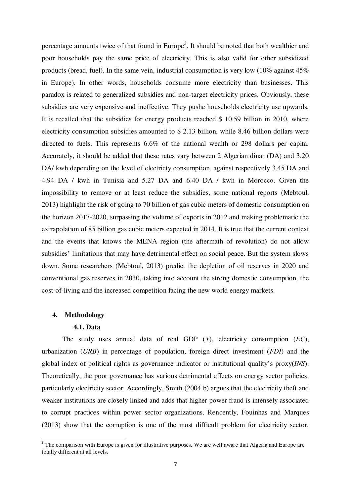percentage amounts twice of that found in Europe<sup>3</sup>. It should be noted that both wealthier and poor households pay the same price of electricity. This is also valid for other subsidized products (bread, fuel). In the same vein, industrial consumption is very low (10% against 45% in Europe). In other words, households consume more electricity than businesses. This paradox is related to generalized subsidies and non-target electricity prices. Obviously, these subsidies are very expensive and ineffective. They pushe households electricity use upwards. It is recalled that the subsidies for energy products reached \$ 10.59 billion in 2010, where electricity consumption subsidies amounted to \$ 2.13 billion, while 8.46 billion dollars were directed to fuels. This represents 6.6% of the national wealth or 298 dollars per capita. Accurately, it should be added that these rates vary between 2 Algerian dinar (DA) and 3.20 DA/ kwh depending on the level of electricty consumption, against respectively 3.45 DA and 4.94 DA / kwh in Tunisia and 5.27 DA and 6.40 DA / kwh in Morocco. Given the impossibility to remove or at least reduce the subsidies, some national reports (Mebtoul, 2013) highlight the risk of going to 70 billion of gas cubic meters of domestic consumption on the horizon 2017-2020, surpassing the volume of exports in 2012 and making problematic the extrapolation of 85 billion gas cubic meters expected in 2014. It is true that the current context and the events that knows the MENA region (the aftermath of revolution) do not allow subsidies' limitations that may have detrimental effect on social peace. But the system slows down. Some researchers (Mebtoul, 2013) predict the depletion of oil reserves in 2020 and conventional gas reserves in 2030, taking into account the strong domestic consumption, the cost-of-living and the increased competition facing the new world energy markets.

# **4. Methodology**

 $\overline{a}$ 

## **4.1. Data**

The study uses annual data of real GDP (*Y*), electricity consumption (*EC*), urbanization (*URB*) in percentage of population, foreign direct investment (*FDI*) and the global index of political rights as governance indicator or institutional quality's proxy(*INS*). Theoretically, the poor governance has various detrimental effects on energy sector policies, particularly electricity sector. Accordingly, Smith (2004 b) argues that the electricity theft and weaker institutions are closely linked and adds that higher power fraud is intensely associated to corrupt practices within power sector organizations. Rencently, Fouinhas and Marques (2013) show that the corruption is one of the most difficult problem for electricity sector.

<sup>&</sup>lt;sup>3</sup> The comparison with Europe is given for illustrative purposes. We are well aware that Algeria and Europe are totally different at all levels.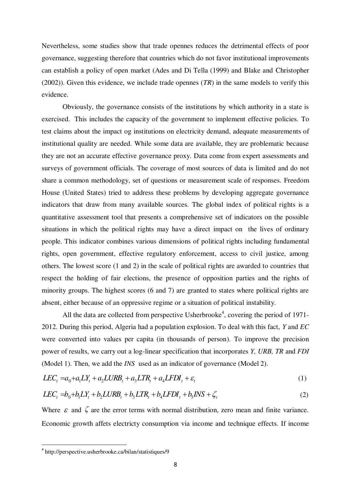Nevertheless, some studies show that trade opennes reduces the detrimental effects of poor governance, suggesting therefore that countries which do not favor institutional improvements can establish a policy of open market (Ades and Di Tella (1999) and Blake and Christopher (2002)). Given this evidence, we include trade opennes (*TR*) in the same models to verify this evidence.

Obviously, the governance consists of the institutions by which authority in a state is exercised. This includes the capacity of the government to implement effective policies. To test claims about the impact og institutions on electricity demand, adequate measurements of institutional quality are needed. While some data are available, they are problematic because they are not an accurate effective governance proxy. Data come from expert assessments and surveys of government officials. The coverage of most sources of data is limited and do not share a common methodology, set of questions or measurement scale of responses. Freedom House (United States) tried to address these problems by developing aggregate governance indicators that draw from many available sources. The global index of political rights is a quantitative assessment tool that presents a comprehensive set of indicators on the possible situations in which the political rights may have a direct impact on the lives of ordinary people. This indicator combines various dimensions of political rights including fundamental rights, open government, effective regulatory enforcement, access to civil justice, among others. The lowest score (1 and 2) in the scale of political rights are awarded to countries that respect the holding of fair elections, the presence of opposition parties and the rights of minority groups. The highest scores (6 and 7) are granted to states where political rights are absent, either because of an oppressive regime or a situation of political instability.

All the data are collected from perspective Usherbrooke<sup>4</sup>, covering the period of 1971-2012. During this period, Algeria had a population explosion. To deal with this fact, *Y* and *EC*  were converted into values per capita (in thousands of person). To improve the precision power of results, we carry out a log-linear specification that incorporates *Y, URB, TR* and *FDI* (Model 1). Then, we add the *INS* used as an indicator of governance (Model 2).

$$
LEC_t = a_0 + a_1 LY_t + a_2 LURB_t + a_3 LTR_t + a_4 LFDI_t + \varepsilon_t
$$
\n<sup>(1)</sup>

$$
LEC_t = b_0 + b_1 LY_t + b_2 LURB_t + b_3 LTR_t + b_4 LFDI_t + b_5INS + \zeta_t
$$
\n(2)

Where  $\varepsilon$  and  $\zeta$  are the error terms with normal distribution, zero mean and finite variance. Economic growth affets electricty consumption via income and technique effects. If income

 $\overline{a}$ 

<sup>4</sup> http://perspective.usherbrooke.ca/bilan/statistiques/9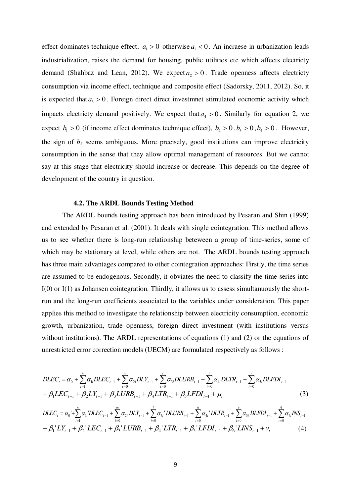effect dominates technique effect,  $a_1 > 0$  otherwise  $a_1 < 0$ . An incraese in urbanization leads industrialization, raises the demand for housing, public utilities etc which affects electricty demand (Shahbaz and Lean, 2012). We expect  $a_2 > 0$ . Trade openness affects electricty consumption via income effect, technique and composite effect (Sadorsky, 2011, 2012). So, it is expected that  $a_3 > 0$ . Foreign direct direct investment stimulated eocnomic activity which impacts electricty demand positively. We expect that  $a_4 > 0$ . Similarly for equation 2, we expect  $b_1 > 0$  (if income effect dominates technique effect),  $b_2 > 0$ ,  $b_3 > 0$ ,  $b_4 > 0$ . However, the sign of *b5* seems ambiguous. More precisely, good institutions can improve electricity consumption in the sense that they allow optimal management of resources. But we cannot say at this stage that electricity should increase or decrease. This depends on the degree of development of the country in question.

# **4.2. The ARDL Bounds Testing Method**

The ARDL bounds testing approach has been introduced by Pesaran and Shin (1999) and extended by Pesaran et al. (2001). It deals with single cointegration. This method allows us to see whether there is long-run relationship beteween a group of time-series, some of which may be stationary at level, while others are not. The ARDL bounds testing approach has three main advantages compared to other cointegration approaches: Firstly, the time series are assumed to be endogenous. Secondly, it obviates the need to classify the time series into I(0) or I(1) as Johansen cointegration. Thirdly, it allows us to assess simultanuously the shortrun and the long-run coefficients associated to the variables under consideration. This paper applies this method to investigate the relationship between electricity consumption, economic growth, urbanization, trade openness, foreign direct investment (with institutions versus without institutions). The ARDL representations of equations (1) and (2) or the equations of unrestricted error correction models (UECM) are formulated respectively as follows :

$$
DLEC_{t} = \alpha_{0} + \sum_{i=1}^{n} \alpha_{1i} DLEC_{t-1} + \sum_{i=0}^{m} \alpha_{2i} DLY_{t-1} + \sum_{i=0}^{l} \alpha_{3i} DLURB_{t-1} + \sum_{i=0}^{h} \alpha_{4i} DLTR_{t-1} + \sum_{i=0}^{v} \alpha_{5i} DLFDI_{t-1} + \beta_{1} LEC_{t-1} + \beta_{2} LY_{t-1} + \beta_{3} LURB_{t-1} + \beta_{4} LTR_{t-1} + \beta_{5} LFDI_{t-1} + \mu_{t}
$$
\n(3)  
\n
$$
DLEC_{t} = \alpha_{0} + \sum_{i=1}^{n} \alpha_{1i} 'DLEC_{t-1} + \sum_{i=0}^{m} \alpha_{2i} 'DLY_{t-1} + \sum_{i=0}^{l} \alpha_{3i} 'DLURB_{t-1} + \sum_{i=0}^{h} \alpha_{4i} 'DLTR_{t-1} + \sum_{i=0}^{v} \alpha_{5i} 'DLFDI_{t-1} + \sum_{i=0}^{q} \alpha_{6i} INS_{t-1} + \beta_{1} 'LY_{t-1} + \beta_{2} 'LEC_{t-1} + \beta_{3} 'LURB_{t-1} + \beta_{4} 'LTR_{t-1} + \beta_{5} 'LFDI_{t-1} + \beta_{6} 'LINS_{t-1} + \nu_{t}
$$
\n(4)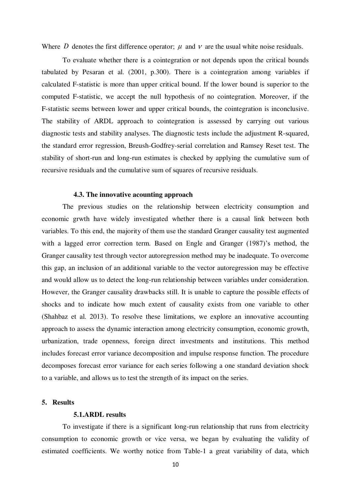Where *D* denotes the first difference operator;  $\mu$  and  $\nu$  are the usual white noise residuals.

To evaluate whether there is a cointegration or not depends upon the critical bounds tabulated by Pesaran et al. (2001, p.300). There is a cointegration among variables if calculated F-statistic is more than upper critical bound. If the lower bound is superior to the computed F-statistic, we accept the null hypothesis of no cointegration. Moreover, if the F-statistic seems between lower and upper critical bounds, the cointegration is inconclusive. The stability of ARDL approach to cointegration is assessed by carrying out various diagnostic tests and stability analyses. The diagnostic tests include the adjustment R-squared, the standard error regression, Breush-Godfrey-serial correlation and Ramsey Reset test. The stability of short-run and long-run estimates is checked by applying the cumulative sum of recursive residuals and the cumulative sum of squares of recursive residuals.

# **4.3. The innovative acounting approach**

The previous studies on the relationship between electricity consumption and economic grwth have widely investigated whether there is a causal link between both variables. To this end, the majority of them use the standard Granger causality test augmented with a lagged error correction term. Based on Engle and Granger (1987)'s method, the Granger causality test through vector autoregression method may be inadequate. To overcome this gap, an inclusion of an additional variable to the vector autoregression may be effective and would allow us to detect the long-run relationship between variables under consideration. However, the Granger causality drawbacks still. It is unable to capture the possible effects of shocks and to indicate how much extent of causality exists from one variable to other (Shahbaz et al. 2013). To resolve these limitations, we explore an innovative accounting approach to assess the dynamic interaction among electricity consumption, economic growth, urbanization, trade openness, foreign direct investments and institutions. This method includes forecast error variance decomposition and impulse response function. The procedure decomposes forecast error variance for each series following a one standard deviation shock to a variable, and allows us to test the strength of its impact on the series.

# **5. Results**

# **5.1.ARDL results**

To investigate if there is a significant long-run relationship that runs from electricity consumption to economic growth or vice versa, we began by evaluating the validity of estimated coefficients. We worthy notice from Table-1 a great variability of data, which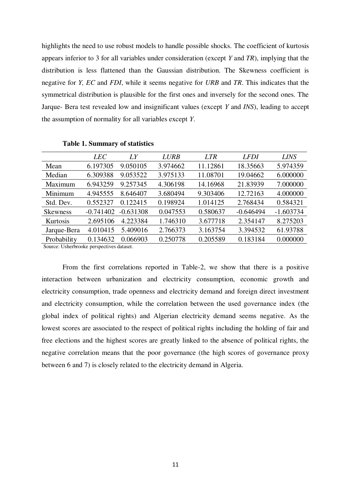highlights the need to use robust models to handle possible shocks. The coefficient of kurtosis appears inferior to 3 for all variables under consideration (except *Y* and *TR*), implying that the distribution is less flattened than the Gaussian distribution. The Skewness coefficient is negative for *Y, EC* and *FDI*, while it seems negative for *URB* and *TR*. This indicates that the symmetrical distribution is plausible for the first ones and inversely for the second ones. The Jarque- Bera test revealed low and insignificant values (except *Y* and *INS*), leading to accept the assumption of normality for all variables except *Y*.

|                                         | <b>LEC</b>  | LY          | <b>LURB</b> | <b>LTR</b> | <b>LFDI</b> | <b>LINS</b> |
|-----------------------------------------|-------------|-------------|-------------|------------|-------------|-------------|
| Mean                                    | 6.197305    | 9.050105    | 3.974662    | 11.12861   | 18.35663    | 5.974359    |
| Median                                  | 6.309388    | 9.053522    | 3.975133    | 11.08701   | 19.04662    | 6.000000    |
| Maximum                                 | 6.943259    | 9.257345    | 4.306198    | 14.16968   | 21.83939    | 7.000000    |
| Minimum                                 | 4.945555    | 8.646407    | 3.680494    | 9.303406   | 12.72163    | 4.000000    |
| Std. Dev.                               | 0.552327    | 0.122415    | 0.198924    | 1.014125   | 2.768434    | 0.584321    |
| <b>Skewness</b>                         | $-0.741402$ | $-0.631308$ | 0.047553    | 0.580637   | $-0.646494$ | $-1.603734$ |
| Kurtosis                                | 2.695106    | 4.223384    | 1.746310    | 3.677718   | 2.354147    | 8.275203    |
| Jarque-Bera                             | 4.010415    | 5.409016    | 2.766373    | 3.163754   | 3.394532    | 61.93788    |
| Probability                             | 0.134632    | 0.066903    | 0.250778    | 0.205589   | 0.183184    | 0.000000    |
| Course: Usherbrooke perspectives detect |             |             |             |            |             |             |

**Table 1. Summary of statistics** 

Source: Usherbrooke perspectives dataset.

From the first correlations reported in Table-2, we show that there is a positive interaction between urbanization and electricity consumption, economic growth and electricity consumption, trade openness and electricity demand and foreign direct investment and electricity consumption, while the correlation between the used governance index (the global index of political rights) and Algerian electricity demand seems negative. As the lowest scores are associated to the respect of political rights including the holding of fair and free elections and the highest scores are greatly linked to the absence of political rights, the negative correlation means that the poor governance (the high scores of governance proxy between 6 and 7) is closely related to the electricity demand in Algeria.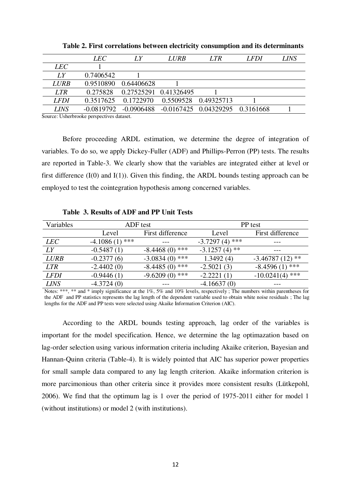| <i>LEC</i>   | LY           | <b>LURB</b> | LTR <sub></sub>       | <b>LFDI</b> | LINS                              |
|--------------|--------------|-------------|-----------------------|-------------|-----------------------------------|
|              |              |             |                       |             |                                   |
| 0.7406542    |              |             |                       |             |                                   |
| 0.9510890    | 0.64406628   |             |                       |             |                                   |
| 0.275828     |              |             |                       |             |                                   |
| 0.3517625    | 0.1722970    | 0.5509528   | 0.49325713            |             |                                   |
| $-0.0819792$ | $-0.0906488$ |             |                       |             |                                   |
|              |              |             | 0.27525291 0.41326495 |             | $-0.0167425$ 0.04329295 0.3161668 |

**Table 2. First correlations between electricity consumption and its determinants** 

Source: Usherbrooke perspectives dataset.

Before proceeding ARDL estimation, we determine the degree of integration of variables. To do so, we apply Dickey-Fuller (ADF) and Phillips-Perron (PP) tests. The results are reported in Table-3. We clearly show that the variables are integrated either at level or first difference  $(I(0)$  and  $I(1)$ ). Given this finding, the ARDL bounds testing approach can be employed to test the cointegration hypothesis among concerned variables.

**Table 3. Results of ADF and PP Unit Tests** 

| Variables   | ADF test            |                  | PP test            |                      |  |
|-------------|---------------------|------------------|--------------------|----------------------|--|
|             | Level               | First difference | Level              | First difference     |  |
| <b>LEC</b>  | ***<br>$-4.1086(1)$ |                  | $-3.7297(4)$ ***   | ---                  |  |
| LY          | $-0.5487(1)$        | $-8.4468(0)$ *** | $-3.1257(4)$<br>** |                      |  |
| <b>LURB</b> | $-0.2377(6)$        | $-3.0834(0)$ *** | 1.3492(4)          | $-3.46787(12)$ **    |  |
| <b>LTR</b>  | $-2.4402(0)$        | $-8.4485(0)$ *** | $-2.5021(3)$       | $-8.4596(1)$ ***     |  |
| <b>LFDI</b> | $-0.9446(1)$        | $-9.6209(0)$ *** | $-2.2221(1)$       | ***<br>$-10.0241(4)$ |  |
| <b>LINS</b> | $-4.3724(0)$        |                  | $-4.16637(0)$      |                      |  |

Notes: \*\*\*, \*\* and \* imply significance at the 1%, 5% and 10% levels, respectively ; The numbers within parentheses for the ADF and PP statistics represents the lag length of the dependent variable used to obtain white noise residuals ; The lag lengths for the ADF and PP tests were selected using Akaike Information Criterion (AIC).

According to the ARDL bounds testing approach, lag order of the variables is important for the model specification. Hence, we determine the lag optimazation based on lag-order selection using various information criteria including Akaike criterion, Bayesian and Hannan-Quinn criteria (Table-4). It is widely pointed that AIC has superior power properties for small sample data compared to any lag length criterion. Akaike information criterion is more parcimonious than other criteria since it provides more consistent results (Lütkepohl, 2006). We find that the optimum lag is 1 over the period of 1975-2011 either for model 1 (without institutions) or model 2 (with institutions).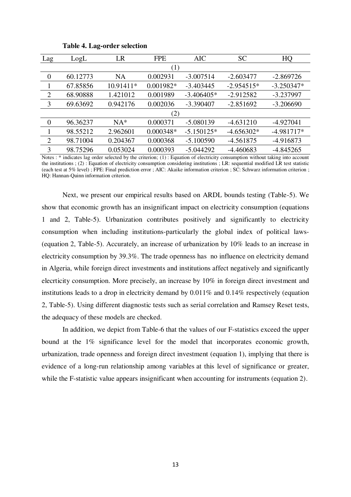| Lag            | LogL     | LR        | <b>FPE</b>  | <b>AIC</b>   | <b>SC</b>    | HQ           |  |  |
|----------------|----------|-----------|-------------|--------------|--------------|--------------|--|--|
| (1)            |          |           |             |              |              |              |  |  |
| $\overline{0}$ | 60.12773 | <b>NA</b> | 0.002931    | $-3.007514$  | $-2.603477$  | $-2.869726$  |  |  |
|                | 67.85856 | 10.91411* | 0.001982*   | $-3.403445$  | $-2.954515*$ | $-3.250347*$ |  |  |
| $\overline{2}$ | 68.90888 | 1.421012  | 0.001989    | $-3.406405*$ | $-2.912582$  | $-3.237997$  |  |  |
| 3              | 69.63692 | 0.942176  | 0.002036    | $-3.390407$  | $-2.851692$  | $-3.206690$  |  |  |
|                |          |           | (2)         |              |              |              |  |  |
| $\theta$       | 96.36237 | $NA*$     | 0.000371    | $-5.080139$  | $-4.631210$  | $-4.927041$  |  |  |
|                | 98.55212 | 2.962601  | $0.000348*$ | $-5.150125*$ | $-4.656302*$ | $-4.981717*$ |  |  |
| 2              | 98.71004 | 0.204367  | 0.000368    | $-5.100590$  | $-4.561875$  | -4.916873    |  |  |
| 3              | 98.75296 | 0.053024  | 0.000393    | $-5.044292$  | $-4.460683$  | $-4.845265$  |  |  |
|                |          |           |             |              |              |              |  |  |

# **Table 4. Lag-order selection**

Notes : \* indicates lag order selected by the criterion; (1) : Equation of electricity consumption without taking into account the institutions ; (2) : Equation of electricity consumption considering institutions ; LR: sequential modified LR test statistic (each test at 5% level) ; FPE: Final prediction error ; AIC: Akaike information criterion ; SC: Schwarz information criterion ; HQ: Hannan-Quinn information criterion.

Next, we present our empirical results based on ARDL bounds testing (Table-5). We show that economic growth has an insignificant impact on electricity consumption (equations 1 and 2, Table-5). Urbanization contributes positively and significantly to electricity consumption when including institutions-particularly the global index of political laws- (equation 2, Table-5). Accurately, an increase of urbanization by 10% leads to an increase in electricity consumption by 39.3%. The trade openness has no influence on electricity demand in Algeria, while foreign direct investments and institutions affect negatively and significantly elecrticity consumption. More precisely, an increase by 10% in foreign direct investment and institutions leads to a drop in electricity demand by 0.011% and 0.14% respectively (equation 2, Table-5). Using different diagnostic tests such as serial correlation and Ramsey Reset tests, the adequacy of these models are checked.

In addition, we depict from Table-6 that the values of our F-statistics exceed the upper bound at the 1% significance level for the model that incorporates economic growth, urbanization, trade openness and foreign direct investment (equation 1), implying that there is evidence of a long-run relationship among variables at this level of significance or greater, while the F-statistic value appears insignificant when accounting for instruments (equation 2).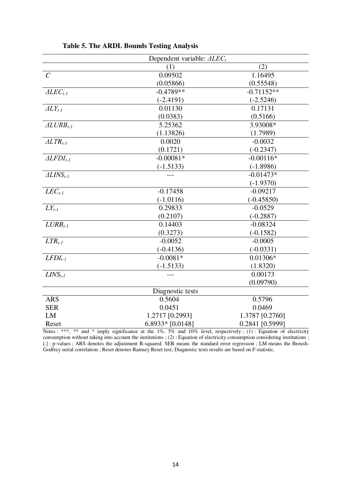|                        | Dependent variable: $\triangle LEC_t$ |                 |
|------------------------|---------------------------------------|-----------------|
|                        | (1)                                   | (2)             |
| $\mathcal{C}$          | 0.09502                               | 1.16495         |
|                        | (0.05866)                             | (0.55548)       |
| $\triangle LEC_{t-1}$  | $-0.4789**$                           | $-0.71152**$    |
|                        | $(-2.4191)$                           | $(-2.5246)$     |
| $\Delta L Y_{t-1}$     | 0.01130                               | 0.17131         |
|                        | (0.0383)                              | (0.5166)        |
| $ALURB_{t-1}$          | 5.25362                               | 3.93008*        |
|                        | (1.13826)                             | (1.7989)        |
| $ALTR_{t-1}$           | 0.0020                                | $-0.0032$       |
|                        | (0.1721)                              | $(-0.2347)$     |
| $ALFDI_{t-1}$          | $-0.00081*$                           | $-0.00116*$     |
|                        | $(-1.5133)$                           | $(-1.8986)$     |
| $\triangle LINS_{t-1}$ |                                       | $-0.01473*$     |
|                        |                                       | $(-1.9370)$     |
| $LEC_{t-1}$            | $-0.17458$                            | $-0.09217$      |
|                        | $(-1.0116)$                           | $(-0.45850)$    |
| $LY_{t-1}$             | 0.29833                               | $-0.0529$       |
|                        | (0.2107)                              | $(-0.2887)$     |
| $LURB_{t-1}$           | 0.14403                               | $-0.08324$      |
|                        | (0.3273)                              | $(-0.1582)$     |
| $LTR_{t-1}$            | $-0.0052$                             | $-0.0005$       |
|                        | $(-0.4136)$                           | $(-0.0331)$     |
| $LFDI_{t-1}$           | $-0.0081*$                            | $0.01306*$      |
|                        | $(-1.5133)$                           | (1.8320)        |
| $LINS_{t-1}$           |                                       | 0.00173         |
|                        |                                       | (0.09790)       |
|                        | Diagnostic tests                      |                 |
| <b>ARS</b>             | 0.5604                                | 0.5796          |
| <b>SER</b>             | 0.0451                                | 0.0469          |
| LM                     | 1.2717 [0.2993]                       | 1.3787 [0.2760] |
| Reset                  | $6.8933*$ [0.0148]                    | 0.2841 [0.5999] |

|  | <b>Table 5. The ARDL Bounds Testing Analysis</b> |  |  |  |
|--|--------------------------------------------------|--|--|--|
|--|--------------------------------------------------|--|--|--|

Notes : \*\*\*, \*\* and \* imply significance at the 1%, 5% and 10% level, respectively; (1): Equation of electricity consumption without taking into account the institutions ; (2) : Equation of electricity consumption considering institutions ; [.] : p-values ; ARS denotes the adjustment R-squared. SER means the standard error regression ; LM means the Breush-Godfrey serial correlation ; Reset denotes Ramsey Reset test; Diagnostic tests results are based on F-statistic.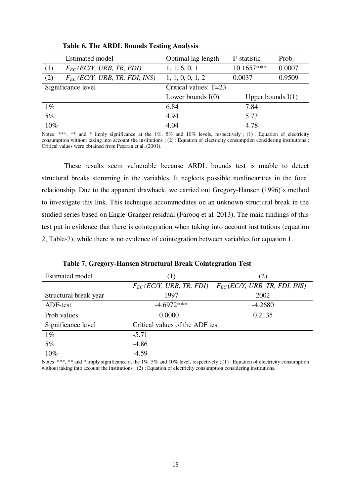| <b>Estimated model</b>                    | Optimal lag length    | F-statistic         | Prob.  |
|-------------------------------------------|-----------------------|---------------------|--------|
| $F_{EC}$ (EC/Y, URB, TR, FDI)<br>(1)      | 1, 1, 6, 0, 1         | $10.1657***$        | 0.0007 |
| (2)<br>$F_{EC}$ (EC/Y, URB, TR, FDI, INS) | 1, 1, 0, 0, 1, 2      | 0.0037              | 0.9509 |
| Significance level                        | Critical values: T=23 |                     |        |
|                                           | Lower bounds $I(0)$   |                     |        |
|                                           |                       | Upper bounds $I(1)$ |        |
| $1\%$                                     | 6.84                  | 7.84                |        |
| 5%                                        | 4.94                  | 5.73                |        |

**Table 6. The ARDL Bounds Testing Analysis**

Notes: \*\*\*, \*\* and \* imply significance at the 1%, 5% and 10% levels, respectively; (1): Equation of electricity consumption without taking into account the institutions ; (2) : Equation of electricity consumption considering institutions ; Critical values were obtained from Pesaran et al. (2001).

These results seem vulnerable because ARDL bounds test is unable to detect structural breaks stemming in the variables. It neglects possible nonlinearities in the focal relationship. Due to the apparent drawback, we carried out Gregory-Hansen (1996)'s method to investigate this link. This technique accommodates on an unknown structural break in the studied series based on Engle-Granger residual (Farooq et al. 2013). The main findings of this test put in evidence that there is cointegration when taking into account institutions (equation 2, Table-7), while there is no evidence of cointegration between variables for equation 1.

| <b>Estimated model</b> | (1)                             | 2)                                 |
|------------------------|---------------------------------|------------------------------------|
|                        | $F_{EC}$ (EC/Y, URB, TR, FDI)   | $F_{EC}$ (EC/Y, URB, TR, FDI, INS) |
| Structural break year  | 1997                            | 2002                               |
| ADF-test               | $-4.6972***$                    | $-4.2680$                          |
| Prob.values            | 0.0000                          | 0.2135                             |
| Significance level     | Critical values of the ADF test |                                    |
| $1\%$                  | $-5.71$                         |                                    |
| 5%                     | $-4.86$                         |                                    |
| 10%                    | $-4.59$                         |                                    |

**Table 7. Gregory-Hansen Structural Break Cointegration Test** 

Notes: \*\*\*, \*\* and \* imply significance at the 1%, 5% and 10% level, respectively; (1): Equation of electricity consumption without taking into account the institutions ; (2) : Equation of electricity consumption considering institutions.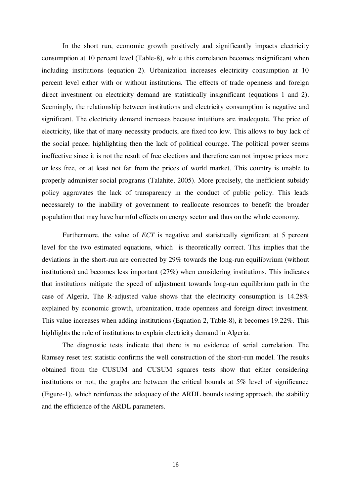In the short run, economic growth positively and significantly impacts electricity consumption at 10 percent level (Table-8), while this correlation becomes insignificant when including institutions (equation 2). Urbanization increases electricity consumption at 10 percent level either with or without institutions. The effects of trade openness and foreign direct investment on electricity demand are statistically insignificant (equations 1 and 2). Seemingly, the relationship between institutions and electricity consumption is negative and significant. The electricity demand increases because intuitions are inadequate. The price of electricity, like that of many necessity products, are fixed too low. This allows to buy lack of the social peace, highlighting then the lack of political courage. The political power seems ineffective since it is not the result of free elections and therefore can not impose prices more or less free, or at least not far from the prices of world market. This country is unable to properly administer social programs (Talahite, 2005). More precisely, the inefficient subsidy policy aggravates the lack of transparency in the conduct of public policy. This leads necessarely to the inability of government to reallocate resources to benefit the broader population that may have harmful effects on energy sector and thus on the whole economy.

Furthermore, the value of *ECT* is negative and statistically significant at 5 percent level for the two estimated equations, which is theoretically correct. This implies that the deviations in the short-run are corrected by 29% towards the long-run equilibvrium (without institutions) and becomes less important (27%) when considering institutions. This indicates that institutions mitigate the speed of adjustment towards long-run equilibrium path in the case of Algeria. The R-adjusted value shows that the electricity consumption is 14.28% explained by economic growth, urbanization, trade openness and foreign direct investment. This value increases when adding institutions (Equation 2, Table-8), it becomes 19.22%. This highlights the role of institutions to explain electricity demand in Algeria.

The diagnostic tests indicate that there is no evidence of serial correlation. The Ramsey reset test statistic confirms the well construction of the short-run model. The results obtained from the CUSUM and CUSUM squares tests show that either considering institutions or not, the graphs are between the critical bounds at 5% level of significance (Figure-1), which reinforces the adequacy of the ARDL bounds testing approach, the stability and the efficience of the ARDL parameters.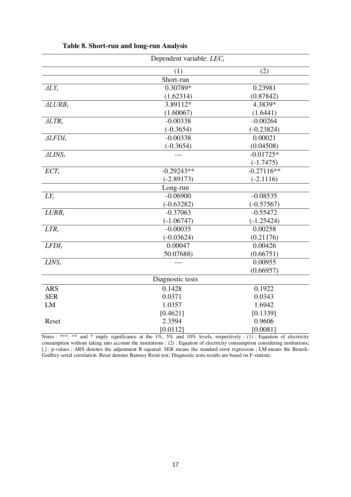|                    | Dependent variable: $LEC_t$ |              |
|--------------------|-----------------------------|--------------|
|                    | (1)                         | (2)          |
|                    | Short-run                   |              |
| $\Delta L Y_t$     | 0.30789*                    | 0.23981      |
|                    | (1.62314)                   | (0.87842)    |
| $ALURB_t$          | 3.89112*                    | 4.3839*      |
|                    | (1.60067)                   | (1.6441)     |
| $ALTR_t$           | $-0.00338$                  | $-0.00264$   |
|                    | $(-0.3654)$                 | $(-0.23824)$ |
| $ALFDI_t$          | $-0.00338$                  | 0.00021      |
|                    | $(-0.3654)$                 | (0.04508)    |
| $\triangle LINS_t$ |                             | $-0.01725*$  |
|                    |                             | $(-1.7475)$  |
| ECT <sub>t</sub>   | $-0.29243**$                | $-0.27116**$ |
|                    | $(-2.89173)$                | $(-2.1116)$  |
|                    | Long-run                    |              |
| $LY_t$             | $-0.06900$                  | $-0.08535$   |
|                    | $(-0.63282)$                | $(-0.57567)$ |
| $LURB_t$           | $-0.37063$                  | $-0.55472$   |
|                    | $(-1.06747)$                | $(-1.25424)$ |
| $LTR_t$            | $-0.00035$                  | 0.00258      |
|                    | $(-0.03624)$                | (0.21176)    |
| $LFDI_t$           | 0.00047                     | 0.00426      |
|                    | 50.07688)                   | (0.66751)    |
| $LINS_t$           | $---$                       | 0.00955      |
|                    |                             | (0.66957)    |
|                    | Diagnostic tests            |              |
| <b>ARS</b>         | 0.1428                      | 0.1922       |
| <b>SER</b>         | 0.0371                      | 0.0343       |
| LM                 | 1.0357                      | 1.6942       |
|                    | [0.4621]                    | [0.1339]     |
| Reset              | 2.3594                      | 0.9606       |
|                    | [0.0112]                    | [0.0081]     |

# **Table 8. Short-run and long-run Analysis**

Notes : \*\*\*, \*\* and \* imply significance at the 1%, 5% and 10% levels, respectively ; (1) : Equation of electricity consumption without taking into account the institutions ; (2) : Equation of electricity consumption considering institutions; [.] : p-values ; ARS denotes the adjustment R-squared. SER means the standard error regression ; LM means the Breush-Godfrey serial correlation. Reset denotes Ramsey Reset test; Diagnostic tests results are based on F-statistic.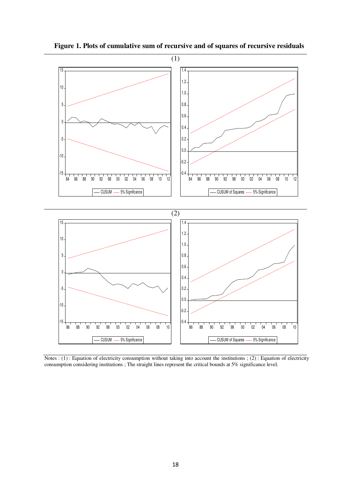

 **Figure 1. Plots of cumulative sum of recursive and of squares of recursive residuals** 

Notes : (1) : Equation of electricity consumption without taking into account the institutions ; (2) : Equation of electricity consumption considering institutions ; The straight lines represent the critical bounds at 5% significance level.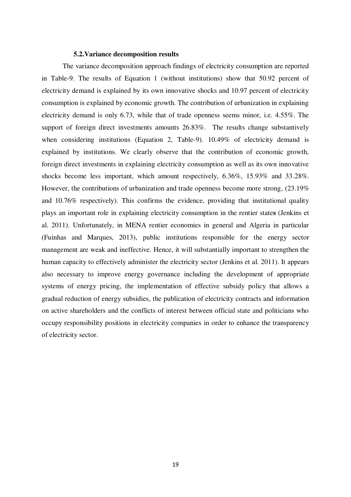# **5.2.Variance decomposition results**

The variance decomposition approach findings of electricity consumption are reported in Table-9. The results of Equation 1 (without institutions) show that 50.92 percent of electricity demand is explained by its own innovative shocks and 10.97 percent of electricity consumption is explained by economic growth. The contribution of urbanization in explaining electricity demand is only 6.73, while that of trade openness seems minor, i.e. 4.55%. The support of foreign direct investments amounts 26.83%. The results change substantively when considering institutions (Equation 2, Table-9). 10.49% of electricity demand is explained by institutions. We clearly observe that the contribution of economic growth, foreign direct investments in explaining electricity consumption as well as its own innovative shocks become less important, which amount respectively, 6.36%, 15.93% and 33.28%. However, the contributions of urbanization and trade openness become more strong, (23.19% and 10.76% respectively). This confirms the evidence, providing that institutional quality plays an important role in explaining electricity consumption in the rentier state**s** (Jenkins et al. 2011). Unfortunately, in MENA rentier economies in general and Algeria in particular (Fuinhas and Marques, 2013), public institutions responsible for the energy sector management are weak and ineffective. Hence, it will substantially important to strengthen the human capacity to effectively administer the electricity sector (Jenkins et al. 2011). It appears also necessary to improve energy governance including the development of appropriate systems of energy pricing, the implementation of effective subsidy policy that allows a gradual reduction of energy subsidies, the publication of electricity contracts and information on active shareholders and the conflicts of interest between official state and politicians who occupy responsibility positions in electricity companies in order to enhance the transparency of electricity sector.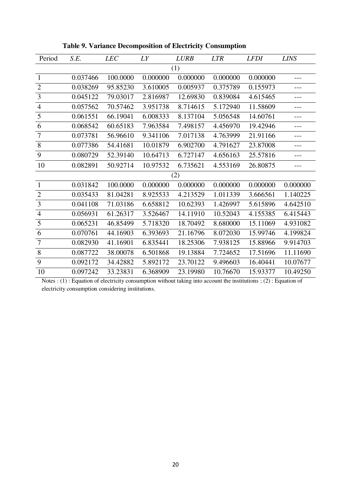| Period         | S.E.     | <b>LEC</b> | LY       | <b>LURB</b> | <b>LTR</b> | <b>LFDI</b> | <b>LINS</b> |
|----------------|----------|------------|----------|-------------|------------|-------------|-------------|
| (1)            |          |            |          |             |            |             |             |
| $\mathbf{1}$   | 0.037466 | 100.0000   | 0.000000 | 0.000000    | 0.000000   | 0.000000    | ---         |
| $\overline{2}$ | 0.038269 | 95.85230   | 3.610005 | 0.005937    | 0.375789   | 0.155973    | ---         |
| 3              | 0.045122 | 79.03017   | 2.816987 | 12.69830    | 0.839084   | 4.615465    | ---         |
| $\overline{4}$ | 0.057562 | 70.57462   | 3.951738 | 8.714615    | 5.172940   | 11.58609    | ---         |
| 5              | 0.061551 | 66.19041   | 6.008333 | 8.137104    | 5.056548   | 14.60761    | ---         |
| 6              | 0.068542 | 60.65183   | 7.963584 | 7.498157    | 4.456970   | 19.42946    | ---         |
| $\tau$         | 0.073781 | 56.96610   | 9.341106 | 7.017138    | 4.763999   | 21.91166    | ---         |
| $8\,$          | 0.077386 | 54.41681   | 10.01879 | 6.902700    | 4.791627   | 23.87008    | ---         |
| 9              | 0.080729 | 52.39140   | 10.64713 | 6.727147    | 4.656163   | 25.57816    | ---         |
| 10             | 0.082891 | 50.92714   | 10.97532 | 6.735621    | 4.553169   | 26.80875    | ---         |
|                |          |            |          | (2)         |            |             |             |
| $\mathbf{1}$   | 0.031842 | 100.0000   | 0.000000 | 0.000000    | 0.000000   | 0.000000    | 0.000000    |
| $\mathbf{2}$   | 0.035433 | 81.04281   | 8.925533 | 4.213529    | 1.011339   | 3.666561    | 1.140225    |
| 3              | 0.041108 | 71.03186   | 6.658812 | 10.62393    | 1.426997   | 5.615896    | 4.642510    |
| $\overline{4}$ | 0.056931 | 61.26317   | 3.526467 | 14.11910    | 10.52043   | 4.155385    | 6.415443    |
| 5              | 0.065231 | 46.85499   | 5.718320 | 18.70492    | 8.680000   | 15.11069    | 4.931082    |
| 6              | 0.070761 | 44.16903   | 6.393693 | 21.16796    | 8.072030   | 15.99746    | 4.199824    |
| $\overline{7}$ | 0.082930 | 41.16901   | 6.835441 | 18.25306    | 7.938125   | 15.88966    | 9.914703    |
| 8              | 0.087722 | 38.00078   | 6.501868 | 19.13884    | 7.724652   | 17.51696    | 11.11690    |
| 9              | 0.092172 | 34.42882   | 5.892172 | 23.70122    | 9.496603   | 16.40441    | 10.07677    |
| 10             | 0.097242 | 33.23831   | 6.368909 | 23.19980    | 10.76670   | 15.93377    | 10.49250    |

**Table 9. Variance Decomposition of Electricity Consumption** 

Notes : (1) : Equation of electricity consumption without taking into account the institutions ; (2) : Equation of electricity consumption considering institutions.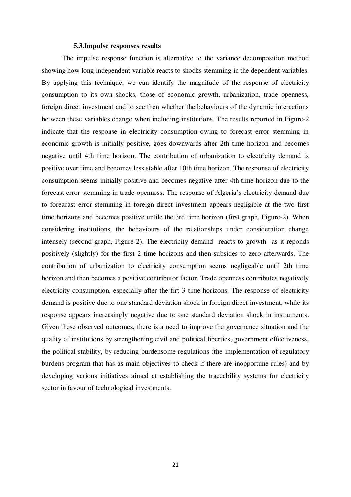# **5.3.Impulse responses results**

The impulse response function is alternative to the variance decomposition method showing how long independent variable reacts to shocks stemming in the dependent variables. By applying this technique, we can identify the magnitude of the response of electricity consumption to its own shocks, those of economic growth, urbanization, trade openness, foreign direct investment and to see then whether the behaviours of the dynamic interactions between these variables change when including institutions. The results reported in Figure-2 indicate that the response in electricity consumption owing to forecast error stemming in economic growth is initially positive, goes downwards after 2th time horizon and becomes negative until 4th time horizon. The contribution of urbanization to electricity demand is positive over time and becomes less stable after 10th time horizon. The response of electricity consumption seems initially positive and becomes negative after 4th time horizon due to the forecast error stemming in trade openness. The response of Algeria's electricity demand due to foreacast error stemming in foreign direct investment appears negligible at the two first time horizons and becomes positive untile the 3rd time horizon (first graph, Figure-2). When considering institutions, the behaviours of the relationships under consideration change intensely (second graph, Figure-2). The electricity demand reacts to growth as it reponds positively (slightly) for the first 2 time horizons and then subsides to zero afterwards. The contribution of urbanization to electricity consumption seems negligeable until 2th time horizon and then becomes a positive contributor factor. Trade openness contributes negatively electricity consumption, especially after the firt 3 time horizons. The response of electricity demand is positive due to one standard deviation shock in foreign direct investment, while its response appears increasingly negative due to one standard deviation shock in instruments. Given these observed outcomes, there is a need to improve the governance situation and the quality of institutions by strengthening civil and political liberties, government effectiveness, the political stability, by reducing burdensome regulations (the implementation of regulatory burdens program that has as main objectives to check if there are inopportune rules) and by developing various initiatives aimed at establishing the traceability systems for electricity sector in favour of technological investments.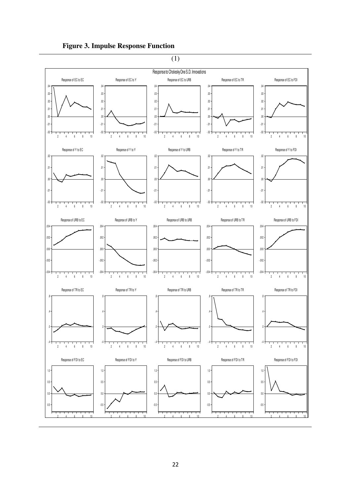

# **Figure 3. Impulse Response Function**

(1)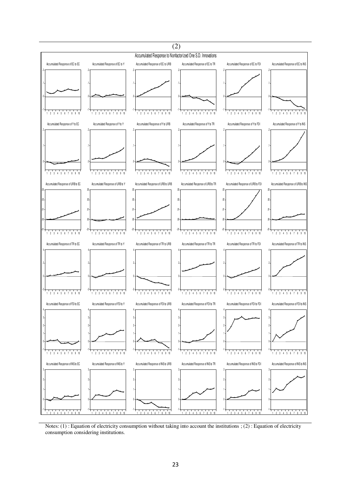

Notes: (1) : Equation of electricity consumption without taking into account the institutions ; (2) : Equation of electricity consumption considering institutions.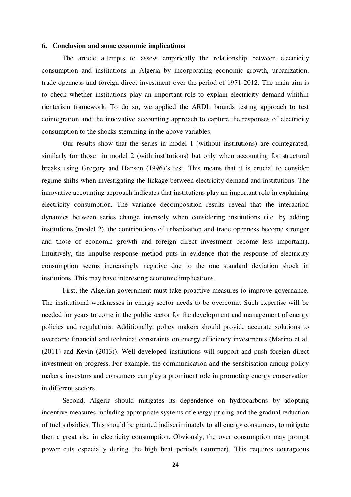# **6. Conclusion and some economic implications**

The article attempts to assess empirically the relationship between electricity consumption and institutions in Algeria by incorporating economic growth, urbanization, trade openness and foreign direct investment over the period of 1971-2012. The main aim is to check whether institutions play an important role to explain electricity demand whithin rienterism framework. To do so, we applied the ARDL bounds testing approach to test cointegration and the innovative accounting approach to capture the responses of electricity consumption to the shocks stemming in the above variables.

Our results show that the series in model 1 (without institutions) are cointegrated, similarly for those in model 2 (with institutions) but only when accounting for structural breaks using Gregory and Hansen (1996)'s test. This means that it is crucial to consider regime shifts when investigating the linkage between electricity demand and institutions. The innovative accounting approach indicates that institutions play an important role in explaining electricity consumption. The variance decomposition results reveal that the interaction dynamics between series change intensely when considering institutions (i.e. by adding institutions (model 2), the contributions of urbanization and trade openness become stronger and those of economic growth and foreign direct investment become less important). Intuitively, the impulse response method puts in evidence that the response of electricity consumption seems increasingly negative due to the one standard deviation shock in instituions. This may have interesting economic implications.

First, the Algerian government must take proactive measures to improve governance. The institutional weaknesses in energy sector needs to be overcome. Such expertise will be needed for years to come in the public sector for the development and management of energy policies and regulations. Additionally, policy makers should provide accurate solutions to overcome financial and technical constraints on energy efficiency investments (Marino et al. (2011) and Kevin (2013)). Well developed institutions will support and push foreign direct investment on progress. For example, the communication and the sensitisation among policy makers, investors and consumers can play a prominent role in promoting energy conservation in different sectors.

Second, Algeria should mitigates its dependence on hydrocarbons by adopting incentive measures including appropriate systems of energy pricing and the gradual reduction of fuel subsidies. This should be granted indiscriminately to all energy consumers, to mitigate then a great rise in electricity consumption. Obviously, the over consumption may prompt power cuts especially during the high heat periods (summer). This requires courageous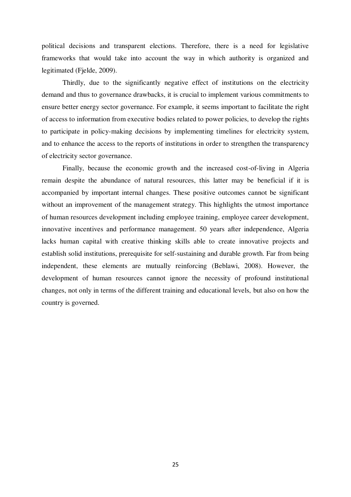political decisions and transparent elections. Therefore, there is a need for legislative frameworks that would take into account the way in which authority is organized and legitimated (Fjelde, 2009).

Thirdly, due to the significantly negative effect of institutions on the electricity demand and thus to governance drawbacks, it is crucial to implement various commitments to ensure better energy sector governance. For example, it seems important to facilitate the right of access to information from executive bodies related to power policies, to develop the rights to participate in policy-making decisions by implementing timelines for electricity system, and to enhance the access to the reports of institutions in order to strengthen the transparency of electricity sector governance.

Finally, because the economic growth and the increased cost-of-living in Algeria remain despite the abundance of natural resources, this latter may be beneficial if it is accompanied by important internal changes. These positive outcomes cannot be significant without an improvement of the management strategy. This highlights the utmost importance of human resources development including employee training, employee career development, innovative incentives and performance management. 50 years after independence, Algeria lacks human capital with creative thinking skills able to create innovative projects and establish solid institutions, prerequisite for self-sustaining and durable growth. Far from being independent, these elements are mutually reinforcing (Beblawi, 2008). However, the development of human resources cannot ignore the necessity of profound institutional changes, not only in terms of the different training and educational levels, but also on how the country is governed.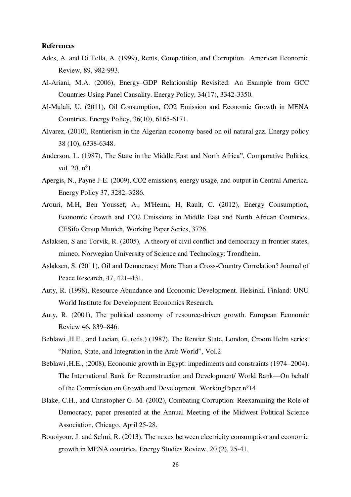# **References**

- Ades, A. and Di Tella, A. (1999), Rents, Competition, and Corruption. American Economic Review, 89, 982-993.
- Al-Ariani, M.A. (2006), Energy–GDP Relationship Revisited: An Example from GCC Countries Using Panel Causality. Energy Policy, 34(17), 3342-3350.
- Al-Mulali, U. (2011), Oil Consumption, CO2 Emission and Economic Growth in MENA Countries. Energy Policy, 36(10), 6165-6171.
- Alvarez, (2010), Rentierism in the Algerian economy based on oil natural gaz. Energy policy 38 (10), 6338-6348.
- Anderson, L. (1987), The State in the Middle East and North Africa", Comparative Politics, vol. 20, n°1.
- Apergis, N., Payne J-E. (2009), CO2 emissions, energy usage, and output in Central America. Energy Policy 37, 3282–3286.
- Arouri, M.H, Ben Youssef, A., M'Henni, H, Rault, C. (2012), Energy Consumption, Economic Growth and CO2 Emissions in Middle East and North African Countries. CESifo Group Munich, Working Paper Series, 3726.
- Aslaksen, S and Torvik, R. (2005), A theory of civil conflict and democracy in frontier states, mimeo, Norwegian University of Science and Technology: Trondheim.
- Aslaksen, S. (2011), Oil and Democracy: More Than a Cross-Country Correlation? Journal of Peace Research, 47, 421–431.
- Auty, R. (1998), Resource Abundance and Economic Development. Helsinki, Finland: UNU World Institute for Development Economics Research.
- Auty, R. (2001), The political economy of resource-driven growth. European Economic Review 46, 839–846.
- Beblawi ,H.E., and Lucian, G. (eds.) (1987), The Rentier State, London, Croom Helm series: "Nation, State, and Integration in the Arab World", Vol.2.
- Beblawi ,H.E., (2008), Economic growth in Egypt: impediments and constraints (1974–2004). The International Bank for Reconstruction and Development/ World Bank—On behalf of the Commission on Growth and Development. WorkingPaper n°14.
- Blake, C.H., and Christopher G. M. (2002), Combating Corruption: Reexamining the Role of Democracy, paper presented at the Annual Meeting of the Midwest Political Science Association, Chicago, April 25-28.
- Bouoiyour, J. and Selmi, R. (2013), The nexus between electricity consumption and economic growth in MENA countries. Energy Studies Review, 20 (2), 25-41.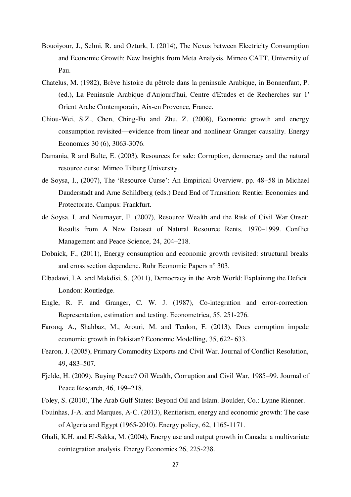- Bouoiyour, J., Selmi, R. and Ozturk, I. (2014), The Nexus between Electricity Consumption and Economic Growth: New Insights from Meta Analysis. Mimeo CATT, University of Pau.
- Chatelus, M. (1982), Brève histoire du pêtrole dans la peninsule Arabique, in Bonnenfant, P. (ed.), La Peninsule Arabique d'Aujourd'hui, Centre d'Etudes et de Recherches sur 1' Orient Arabe Contemporain, Aix-en Provence, France.
- Chiou-Wei, S.Z., Chen, Ching-Fu and Zhu, Z. (2008), Economic growth and energy consumption revisited—evidence from linear and nonlinear Granger causality. Energy Economics 30 (6), 3063-3076.
- Damania, R and Bulte, E. (2003), Resources for sale: Corruption, democracy and the natural resource curse. Mimeo Tilburg University.
- de Soysa, I., (2007), The 'Resource Curse': An Empirical Overview. pp. 48–58 in Michael Dauderstadt and Arne Schildberg (eds.) Dead End of Transition: Rentier Economies and Protectorate. Campus: Frankfurt.
- de Soysa, I. and Neumayer, E. (2007), Resource Wealth and the Risk of Civil War Onset: Results from A New Dataset of Natural Resource Rents, 1970–1999. Conflict Management and Peace Science, 24, 204–218.
- Dobnick, F., (2011), Energy consumption and economic growth revisited: structural breaks and cross section dependenc. Ruhr Economic Papers n° 303.
- Elbadawi, I.A. and Makdisi, S. (2011), Democracy in the Arab World: Explaining the Deficit. London: Routledge.
- Engle, R. F. and Granger, C. W. J. (1987), Co-integration and error-correction: Representation, estimation and testing. Econometrica, 55, 251-276.
- Farooq, A., Shahbaz, M., Arouri, M. and Teulon, F. (2013), Does corruption impede economic growth in Pakistan? Economic Modelling, 35, 622- 633.
- Fearon, J. (2005), Primary Commodity Exports and Civil War. Journal of Conflict Resolution, 49, 483–507.
- Fjelde, H. (2009), Buying Peace? Oil Wealth, Corruption and Civil War, 1985–99. Journal of Peace Research, 46, 199–218.
- Foley, S. (2010), The Arab Gulf States: Beyond Oil and Islam. Boulder, Co.: Lynne Rienner.
- Fouinhas, J-A. and Marques, A-C. (2013), Rentierism, energy and economic growth: The case of Algeria and Egypt (1965-2010). Energy policy, 62, 1165-1171.
- Ghali, K.H. and El-Sakka, M. (2004), Energy use and output growth in Canada: a multivariate cointegration analysis. Energy Economics 26, 225-238.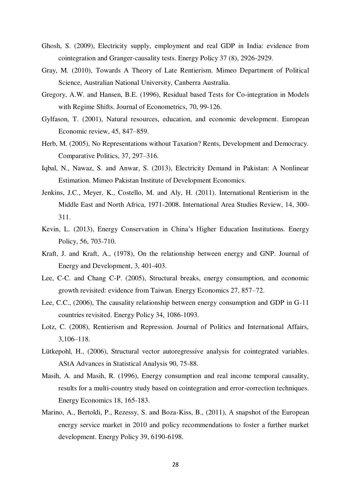- Ghosh, S. (2009), Electricity supply, employment and real GDP in India: evidence from cointegration and Granger-causality tests. Energy Policy 37 (8), 2926-2929.
- Gray, M. (2010), Towards A Theory of Late Rentierism. Mimeo Department of Political Science, Australian National University, Canberra Australia.
- Gregory, A.W. and Hansen, B.E. (1996), Residual based Tests for Co-integration in Models with Regime Shifts. Journal of Econometrics, 70, 99-126.
- Gylfason, T. (2001), Natural resources, education, and economic development. European Economic review, 45, 847–859.
- Herb, M. (2005), No Representations without Taxation? Rents, Development and Democracy. Comparative Politics, 37, 297–316.
- Iqbal, N., Nawaz, S. and Anwar, S. (2013), Electricity Demand in Pakistan: A Nonlinear Estimation. Mimeo Pakistan Institute of Development Economics.
- Jenkins, J.C., Meyer, K., Costello, M. and Aly, H. (2011). International Rentierism in the Middle East and North Africa, 1971-2008. International Area Studies Review, 14, 300- 311.
- Kevin, L. (2013), Energy Conservation in China's Higher Education Institutions. Energy Policy, 56, 703-710.
- Kraft, J. and Kraft, A., (1978), On the relationship between energy and GNP. Journal of Energy and Development, 3, 401-403.
- Lee, C-C. and Chang C-P. (2005), Structural breaks, energy consumption, and economic growth revisited: evidence from Taiwan. Energy Economics 27, 857–72.
- Lee, C.C., (2006), The causality relationship between energy consumption and GDP in G-11 countries revisited. Energy Policy 34, 1086-1093.
- Lotz, C. (2008), Rentierism and Repression. Journal of Politics and International Affairs, 3,106–118.
- Lütkepohl, H., (2006), Structural vector autoregressive analysis for cointegrated variables. AStA Advances in Statistical Analysis 90, 75-88.
- Masih, A. and Masih, R. (1996), Energy consumption and real income temporal causality, results for a multi-country study based on cointegration and error-correction techniques. Energy Economics 18, 165-183.
- Marino, A., Bertoldi, P., Rezessy, S. and Boza-Kiss, B., (2011), A snapshot of the European energy service market in 2010 and policy recommendations to foster a further market development. Energy Policy 39, 6190-6198.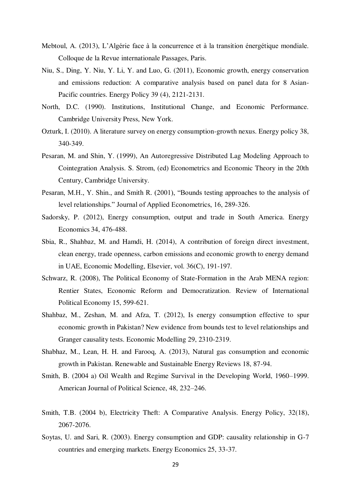- Mebtoul, A. (2013), L'Algérie face à la concurrence et à la transition énergétique mondiale. Colloque de la Revue internationale Passages, Paris.
- Niu, S., Ding, Y. Niu, Y. Li, Y. and Luo, G. (2011), Economic growth, energy conservation and emissions reduction: A comparative analysis based on panel data for 8 Asian-Pacific countries. Energy Policy 39 (4), 2121-2131.
- North, D.C. (1990). Institutions, Institutional Change, and Economic Performance. Cambridge University Press, New York.
- Ozturk, I. (2010). A literature survey on energy consumption-growth nexus. Energy policy 38, 340-349.
- Pesaran, M. and Shin, Y. (1999), An Autoregressive Distributed Lag Modeling Approach to Cointegration Analysis. S. Strom, (ed) Econometrics and Economic Theory in the 20th Century, Cambridge University.
- Pesaran, M.H., Y. Shin., and Smith R. (2001), "Bounds testing approaches to the analysis of level relationships." Journal of Applied Econometrics, 16, 289-326.
- Sadorsky, P. (2012), Energy consumption, output and trade in South America. Energy Economics 34, 476-488.
- Sbia, R., Shahbaz, M. and Hamdi, H. (2014), [A contribution of foreign direct investment,](http://ideas.repec.org/a/eee/ecmode/v36y2014icp191-197.html)  [clean energy, trade openness, carbon emissions and economic growth to energy demand](http://ideas.repec.org/a/eee/ecmode/v36y2014icp191-197.html)  [in UAE,](http://ideas.repec.org/a/eee/ecmode/v36y2014icp191-197.html) [Economic Modelling,](http://ideas.repec.org/s/eee/ecmode.html) Elsevier, vol. 36(C), 191-197.
- Schwarz, R. (2008), The Political Economy of State-Formation in the Arab MENA region: Rentier States, Economic Reform and Democratization. Review of International Political Economy 15, 599-621.
- Shahbaz, M., Zeshan, M. and Afza, T. (2012), Is energy consumption effective to spur economic growth in Pakistan? New evidence from bounds test to level relationships and Granger causality tests. Economic Modelling 29, 2310-2319.
- Shabhaz, M., Lean, H. H. and Farooq, A. (2013), Natural gas consumption and economic growth in Pakistan. Renewable and Sustainable Energy Reviews 18, 87-94.
- Smith, B. (2004 a) Oil Wealth and Regime Survival in the Developing World, 1960–1999. American Journal of Political Science, 48, 232–246.
- Smith, T.B. (2004 b), Electricity Theft: A Comparative Analysis. Energy Policy, 32(18), 2067-2076.
- Soytas, U. and Sari, R. (2003). Energy consumption and GDP: causality relationship in G-7 countries and emerging markets. Energy Economics 25, 33-37.